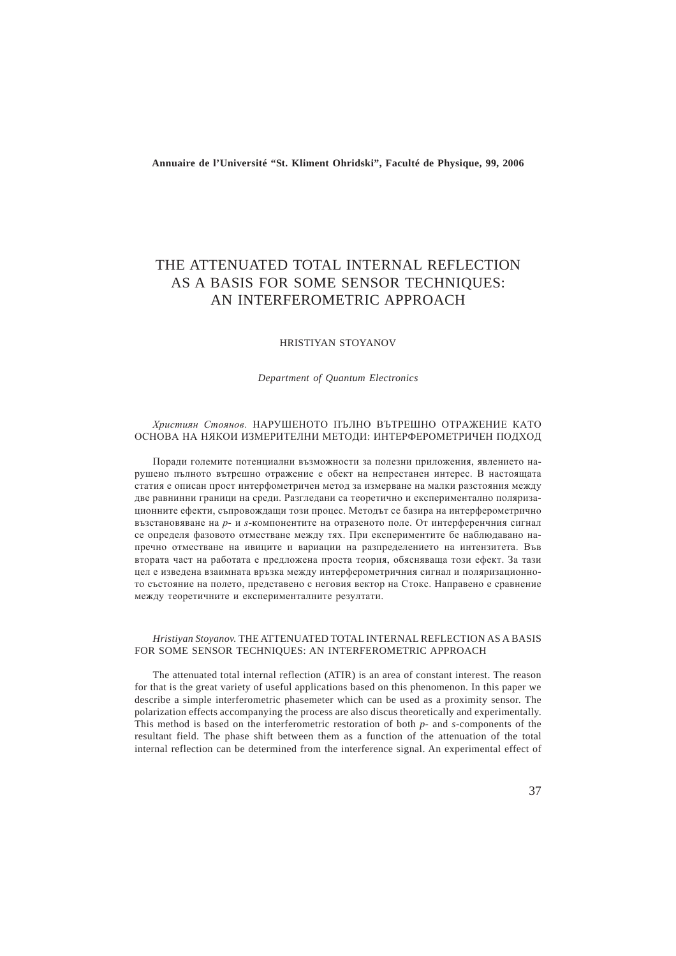**Annuaire de l'Université "St. Kliment Ohridski", Faculté de Physique, 99, 2006**

# THE ATTENUATED TOTAL INTERNAL REFLECTION AS A BASIS FOR SOME SENSOR TECHNIQUES: AN INTERFEROMETRIC APPROACH

#### HRISTIYAN STOYANOV

*Department of Quantum Electronics*

#### *Християн Стоянов*. НАРУШЕНОТО ПЪЛНО ВЪТРЕШНО ОТРАЖЕНИЕ КАТО ОСНОВА НА НЯКОИ ИЗМЕРИТЕЛНИ МЕТОДИ: ИНТЕРФЕРОМЕТРИЧЕН ПОДХОД

Поради големите потенциални възможности за полезни приложения, явлението нарушено пълното вътрешно отражение е обект на непрестанен интерес. В настоящата статия е описан прост интерфометричен метод за измерване на малки разстояния между две равнинни граници на среди. Разгледани са теоретично и експериментално поляризационните ефекти, съпровождащи този процес. Методът се базира на интерферометрично възстановяване на *p- и s-*компонентите на отразеното поле. От интерференчния сигнал се определя фазовото отместване между тях. При експериментите бе наблюдавано напречно отместване на ивиците и вариации на разпределението на интензитета. Във втората част на работата е предложена проста теория, обясняваща този ефект. За тази цел е изведена взаимната връзка между интерферометричния сигнал и поляризационното състояние на полето, представено с неговия вектор на Стокс. Направено е сравнение между теоретичните и експерименталните резултати.

#### *Hristiyan Stoyanov.* THE ATTENUATED TOTAL INTERNAL REFLECTION AS A BASIS FOR SOME SENSOR TECHNIQUES: AN INTERFEROMETRIC APPROACH

The attenuated total internal reflection (ATIR) is an area of constant interest. The reason for that is the great variety of useful applications based on this phenomenon. In this paper we describe a simple interferometric phasemeter which can be used as a proximity sensor. The polarization effects accompanying the process are also discus theoretically and experimentally. This method is based on the interferometric restoration of both *p*- and *s*-components of the resultant field. The phase shift between them as a function of the attenuation of the total internal reflection can be determined from the interference signal. An experimental effect of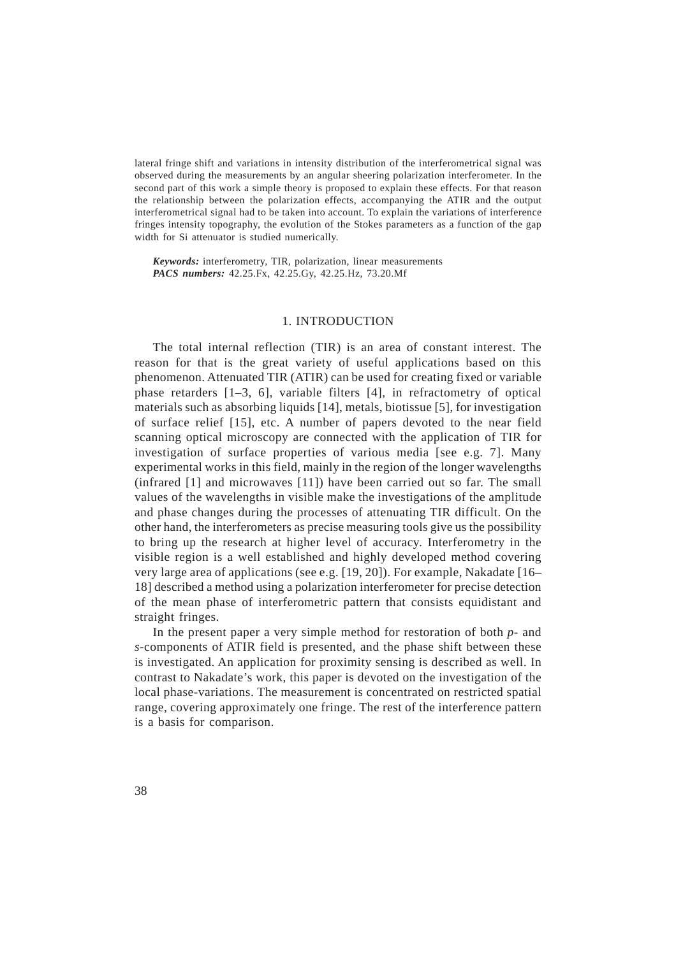lateral fringe shift and variations in intensity distribution of the interferometrical signal was observed during the measurements by an angular sheering polarization interferometer. In the second part of this work a simple theory is proposed to explain these effects. For that reason the relationship between the polarization effects, accompanying the ATIR and the output interferometrical signal had to be taken into account. To explain the variations of interference fringes intensity topography, the evolution of the Stokes parameters as a function of the gap width for Si attenuator is studied numerically.

*Keywords:* interferometry, TIR, polarization, linear measurements *PACS numbers:* 42.25.Fx, 42.25.Gy, 42.25.Hz, 73.20.Mf

#### 1. INTRODUCTION

The total internal reflection (TIR) is an area of constant interest. The reason for that is the great variety of useful applications based on this phenomenon. Attenuated TIR (ATIR) can be used for creating fixed or variable phase retarders [1–3, 6], variable filters [4], in refractometry of optical materials such as absorbing liquids [14], metals, biotissue [5], for investigation of surface relief [15], etc. A number of papers devoted to the near field scanning optical microscopy are connected with the application of TIR for investigation of surface properties of various media [see e.g. 7]. Many experimental works in this field, mainly in the region of the longer wavelengths (infrared [1] and microwaves [11]) have been carried out so far. The small values of the wavelengths in visible make the investigations of the amplitude and phase changes during the processes of attenuating TIR difficult. On the other hand, the interferometers as precise measuring tools give us the possibility to bring up the research at higher level of accuracy. Interferometry in the visible region is a well established and highly developed method covering very large area of applications (see e.g. [19, 20]). For example, Nakadate [16– 18] described a method using a polarization interferometer for precise detection of the mean phase of interferometric pattern that consists equidistant and straight fringes.

In the present paper a very simple method for restoration of both *p*- and *s*-components of ATIR field is presented, and the phase shift between these is investigated. An application for proximity sensing is described as well. In contrast to Nakadate's work, this paper is devoted on the investigation of the local phase-variations. The measurement is concentrated on restricted spatial range, covering approximately one fringe. The rest of the interference pattern is a basis for comparison.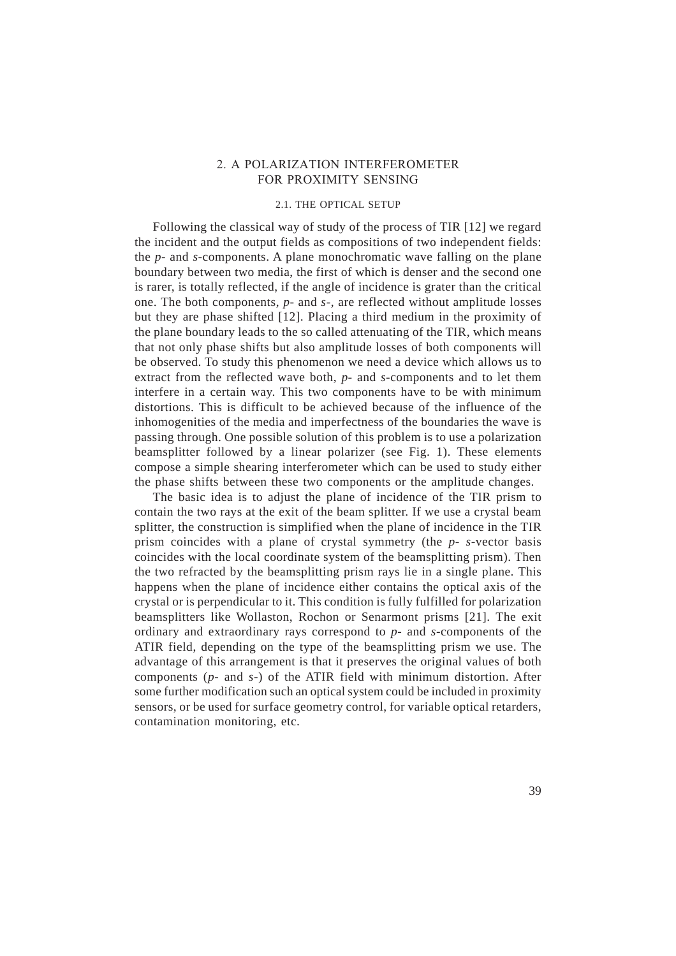### 2. A POLARIZATION INTERFEROMETER FOR PROXIMITY SENSING

### 2.1. THE OPTICAL SETUP

Following the classical way of study of the process of TIR [12] we regard the incident and the output fields as compositions of two independent fields: the *p*- and *s*-components. A plane monochromatic wave falling on the plane boundary between two media, the first of which is denser and the second one is rarer, is totally reflected, if the angle of incidence is grater than the critical one. The both components, *p*- and *s*-, are reflected without amplitude losses but they are phase shifted [12]. Placing a third medium in the proximity of the plane boundary leads to the so called attenuating of the TIR, which means that not only phase shifts but also amplitude losses of both components will be observed. To study this phenomenon we need a device which allows us to extract from the reflected wave both, *p-* and *s*-components and to let them interfere in a certain way. This two components have to be with minimum distortions. This is difficult to be achieved because of the influence of the inhomogenities of the media and imperfectness of the boundaries the wave is passing through. One possible solution of this problem is to use a polarization beamsplitter followed by a linear polarizer (see Fig. 1). These elements compose a simple shearing interferometer which can be used to study either the phase shifts between these two components or the amplitude changes.

The basic idea is to adjust the plane of incidence of the TIR prism to contain the two rays at the exit of the beam splitter. If we use a crystal beam splitter, the construction is simplified when the plane of incidence in the TIR prism coincides with a plane of crystal symmetry (the *p- s*-vector basis coincides with the local coordinate system of the beamsplitting prism). Then the two refracted by the beamsplitting prism rays lie in a single plane. This happens when the plane of incidence either contains the optical axis of the crystal or is perpendicular to it. This condition is fully fulfilled for polarization beamsplitters like Wollaston, Rochon or Senarmont prisms [21]. The exit ordinary and extraordinary rays correspond to *p*- and *s*-components of the ATIR field, depending on the type of the beamsplitting prism we use. The advantage of this arrangement is that it preserves the original values of both components (*p*- and *s*-) of the ATIR field with minimum distortion. After some further modification such an optical system could be included in proximity sensors, or be used for surface geometry control, for variable optical retarders, contamination monitoring, etc.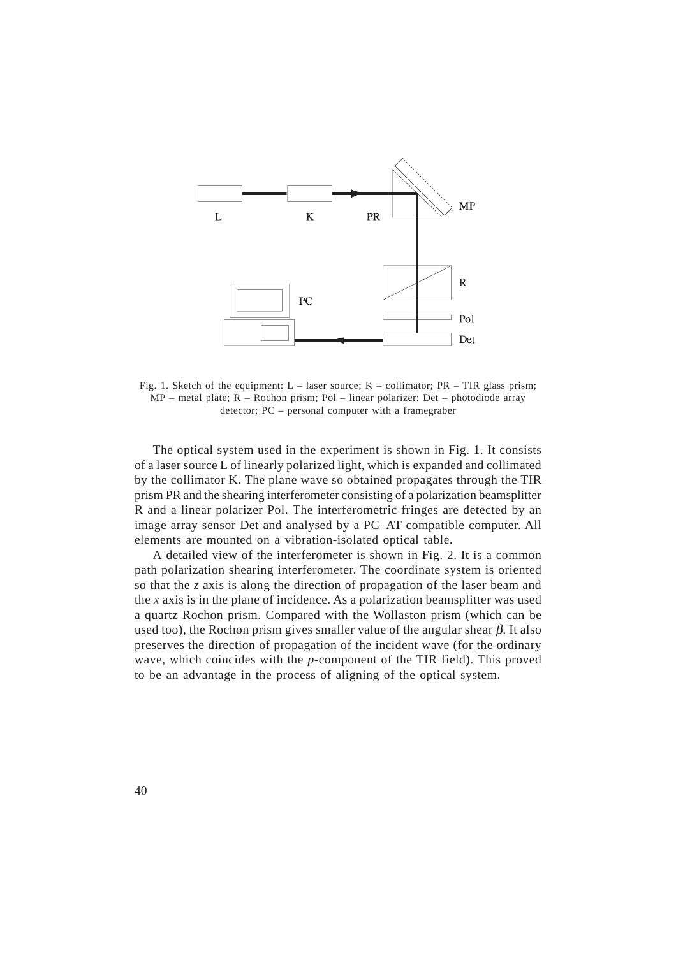

Fig. 1. Sketch of the equipment:  $L -$  laser source;  $K -$  collimator;  $PR - TIR$  glass prism; MP – metal plate; R – Rochon prism; Pol – linear polarizer; Det – photodiode array detector; PC – personal computer with a framegraber

The optical system used in the experiment is shown in Fig. 1. It consists of a laser source L of linearly polarized light, which is expanded and collimated by the collimator K. The plane wave so obtained propagates through the TIR prism PR and the shearing interferometer consisting of a polarization beamsplitter R and a linear polarizer Pol. The interferometric fringes are detected by an image array sensor Det and analysed by a PC–AT compatible computer. All elements are mounted on a vibration-isolated optical table.

A detailed view of the interferometer is shown in Fig. 2. It is a common path polarization shearing interferometer. The coordinate system is oriented so that the *z* axis is along the direction of propagation of the laser beam and the *x* axis is in the plane of incidence. As a polarization beamsplitter was used a quartz Rochon prism. Compared with the Wollaston prism (which can be used too), the Rochon prism gives smaller value of the angular shear  $\beta$ . It also preserves the direction of propagation of the incident wave (for the ordinary wave, which coincides with the *p*-component of the TIR field). This proved to be an advantage in the process of aligning of the optical system.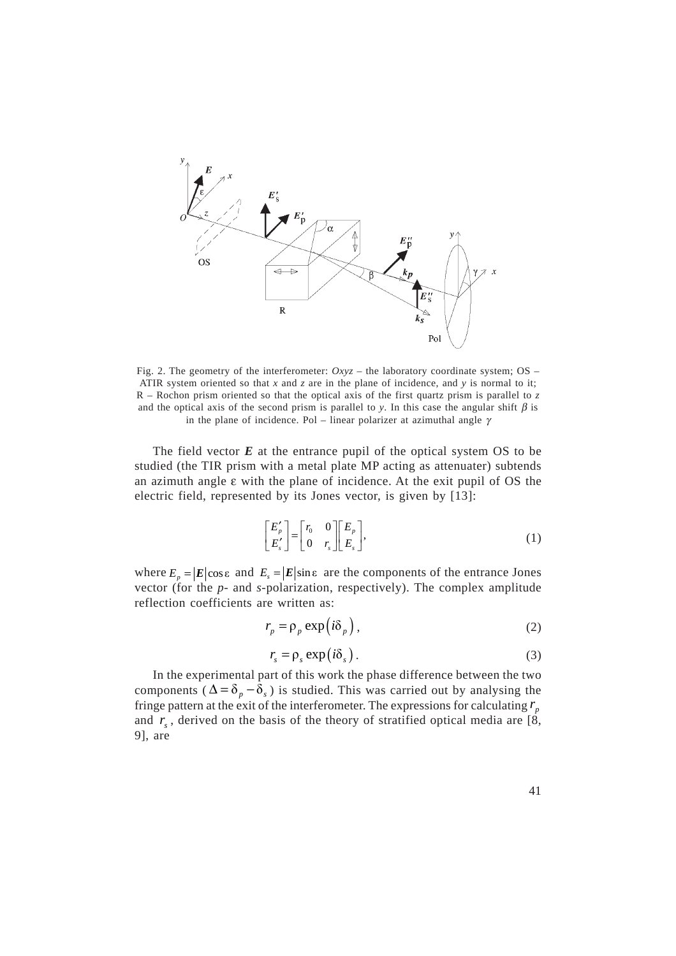

Fig. 2. The geometry of the interferometer: *Oxyz* – the laboratory coordinate system; OS – ATIR system oriented so that  $x$  and  $z$  are in the plane of incidence, and  $y$  is normal to it; R – Rochon prism oriented so that the optical axis of the first quartz prism is parallel to *z* and the optical axis of the second prism is parallel to *y*. In this case the angular shift  $\beta$  is in the plane of incidence. Pol – linear polarizer at azimuthal angle  $\gamma$ 

The field vector *E* at the entrance pupil of the optical system OS to be studied (the TIR prism with a metal plate MP acting as attenuater) subtends an azimuth angle ε with the plane of incidence. At the exit pupil of OS the electric field, represented by its Jones vector, is given by [13]:

$$
\begin{bmatrix} E'_p \\ E'_s \end{bmatrix} = \begin{bmatrix} r_0 & 0 \\ 0 & r_s \end{bmatrix} \begin{bmatrix} E_p \\ E_s \end{bmatrix},
$$
\n(1)

where  $E_p = |E|\cos \varepsilon$  and  $E_s = |E|\sin \varepsilon$  are the components of the entrance Jones vector (for the *p*- and *s*-polarization, respectively). The complex amplitude reflection coefficients are written as:

$$
r_p = \rho_p \exp(i\delta_p), \qquad (2)
$$

$$
r_s = \rho_s \exp(i\delta_s). \tag{3}
$$

In the experimental part of this work the phase difference between the two components ( $\Delta = \delta_p - \bar{\delta}_s$ ) is studied. This was carried out by analysing the fringe pattern at the exit of the interferometer. The expressions for calculating  $r<sub>n</sub>$ and  $r<sub>s</sub>$ , derived on the basis of the theory of stratified optical media are [8, 9], are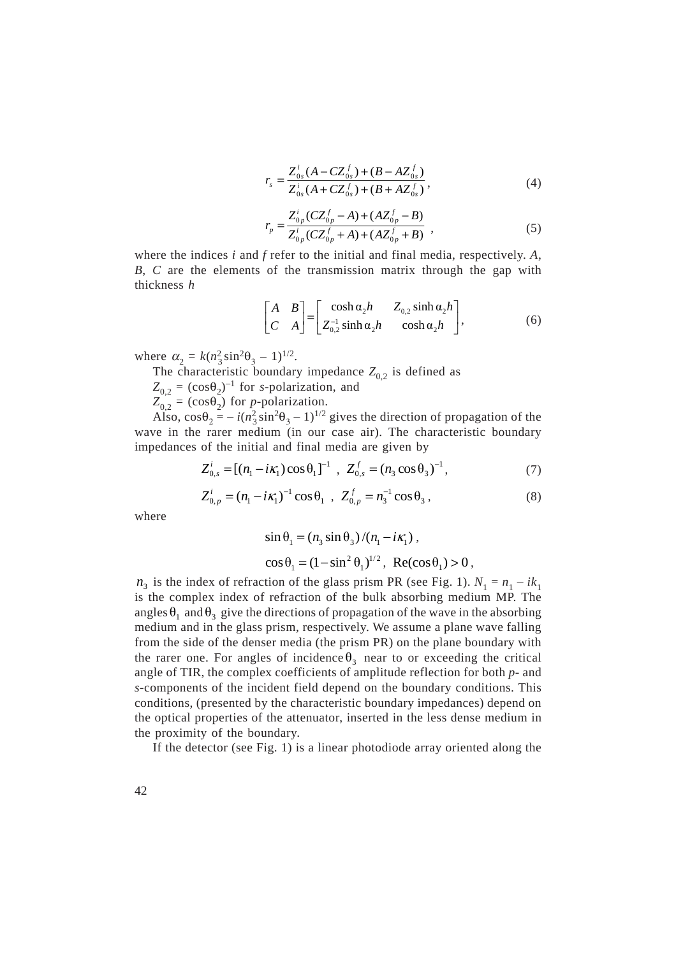$$
r_s = \frac{Z_{0s}^i (A - CZ_{0s}^f) + (B - AZ_{0s}^f)}{Z_{0s}^i (A + CZ_{0s}^f) + (B + AZ_{0s}^f)},
$$
(4)

$$
r_p = \frac{Z_{0p}^i(CZ_{0p}^f - A) + (AZ_{0p}^f - B)}{Z_{0p}^i(CZ_{0p}^f + A) + (AZ_{0p}^f + B)},
$$
\n(5)

where the indices *i* and *f* refer to the initial and final media, respectively. *A*, *B*, *C* are the elements of the transmission matrix through the gap with thickness *h*

$$
\begin{bmatrix} A & B \\ C & A \end{bmatrix} = \begin{bmatrix} \cosh \alpha_2 h & Z_{0,2} \sinh \alpha_2 h \\ Z_{0,2}^{-1} \sinh \alpha_2 h & \cosh \alpha_2 h \end{bmatrix},
$$
 (6)

where  $\alpha_2 = k(n_3^2 \sin^2 \theta_3 - 1)^{1/2}$ .

The characteristic boundary impedance  $Z_{0,2}$  is defined as

 $Z_{0,2} = (\cos \theta_2)^{-1}$  for *s*-polarization, and

 $Z_{0,2} = (\cos \theta_2)$  for *p*-polarization.

Also,  $\cos\theta_2 = -i(n_3^2 \sin^2\theta_3 - 1)^{1/2}$  gives the direction of propagation of the wave in the rarer medium (in our case air). The characteristic boundary impedances of the initial and final media are given by

$$
Z_{0,s}^{i} = [(n_1 - i\kappa_1)\cos\theta_1]^{-1}, Z_{0,s}^{f} = (n_3\cos\theta_3)^{-1}, \qquad (7)
$$

$$
Z_{0,p}^{i} = (n_1 - i\kappa_1)^{-1} \cos \theta_1 , \quad Z_{0,p}^{f} = n_3^{-1} \cos \theta_3 , \tag{8}
$$

where

$$
\sin \theta_1 = (n_3 \sin \theta_3) / (n_1 - i\kappa_1),
$$
  
\n
$$
\cos \theta_1 = (1 - \sin^2 \theta_1)^{1/2}, \text{ Re}(\cos \theta_1) > 0,
$$

 $n_3$  is the index of refraction of the glass prism PR (see Fig. 1).  $N_1 = n_1 - ik_1$ is the complex index of refraction of the bulk absorbing medium MP. The angles  $\theta_1$  and  $\theta_3$  give the directions of propagation of the wave in the absorbing medium and in the glass prism, respectively. We assume a plane wave falling from the side of the denser media (the prism PR) on the plane boundary with the rarer one. For angles of incidence  $\theta_3$  near to or exceeding the critical angle of TIR, the complex coefficients of amplitude reflection for both *p-* and *s*-components of the incident field depend on the boundary conditions. This conditions, (presented by the characteristic boundary impedances) depend on the optical properties of the attenuator, inserted in the less dense medium in the proximity of the boundary.

If the detector (see Fig. 1) is a linear photodiode array oriented along the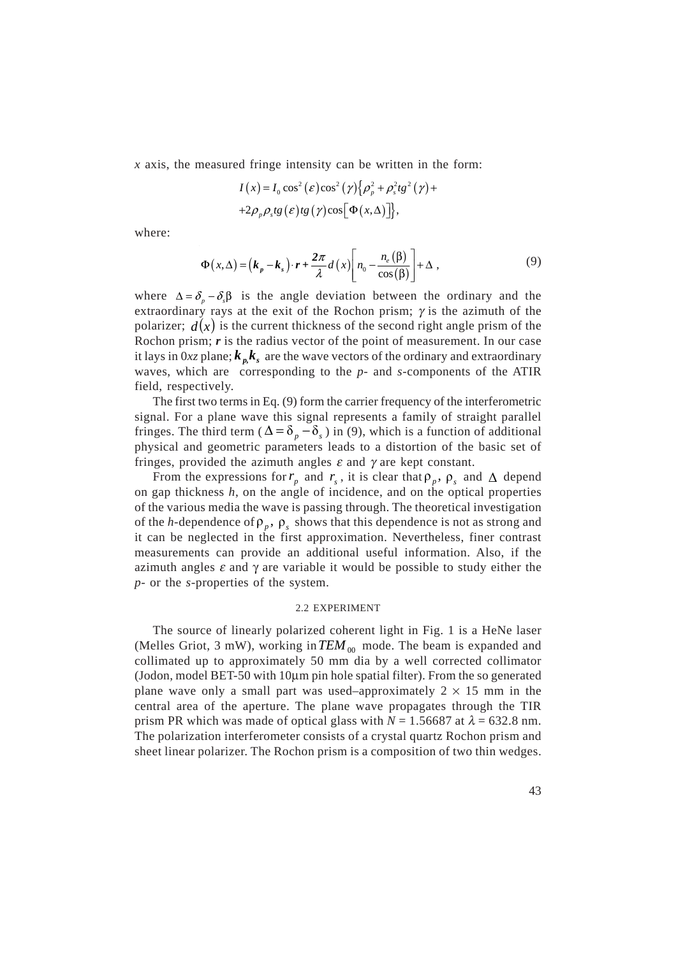*x* axis, the measured fringe intensity can be written in the form:

$$
I(x) = I_0 \cos^2(\varepsilon) \cos^2(\gamma) \{ \rho_p^2 + \rho_s^2 t g^2(\gamma) + 2 \rho_p \rho_s t g(\varepsilon) t g(\gamma) \cos[\Phi(x, \Delta)] \},
$$

where:

$$
\Phi(x,\Delta) = (k_p - k_s) \cdot r + \frac{2\pi}{\lambda} d(x) \left[ n_0 - \frac{n_e(\beta)}{\cos(\beta)} \right] + \Delta ,
$$
\n(9)

where  $\Delta = \delta_n - \delta_n \beta$  is the angle deviation between the ordinary and the extraordinary rays at the exit of the Rochon prism;  $\gamma$  is the azimuth of the polarizer;  $d(x)$  is the current thickness of the second right angle prism of the Rochon prism; *r* is the radius vector of the point of measurement. In our case it lays in  $0xz$  plane;  $k_{n}k_{s}$  are the wave vectors of the ordinary and extraordinary waves, which are corresponding to the *p*- and *s*-components of the ATIR field, respectively.

The first two terms in Eq. (9) form the carrier frequency of the interferometric signal. For a plane wave this signal represents a family of straight parallel fringes. The third term ( $\Delta = \delta_p - \delta_s$ ) in (9), which is a function of additional physical and geometric parameters leads to a distortion of the basic set of fringes, provided the azimuth angles  $\varepsilon$  and  $\gamma$  are kept constant.

From the expressions for  $r_p$  and  $r_s$ , it is clear that  $\rho_p$ ,  $\rho_s$  and  $\Delta$  depend on gap thickness *h*, on the angle of incidence, and on the optical properties of the various media the wave is passing through. The theoretical investigation of the *h*-dependence of  $\rho_p$ ,  $\rho_s$  shows that this dependence is not as strong and it can be neglected in the first approximation. Nevertheless, finer contrast measurements can provide an additional useful information. Also, if the azimuth angles  $\varepsilon$  and  $\gamma$  are variable it would be possible to study either the *p*- or the *s*-properties of the system.

#### 2.2 EXPERIMENT

The source of linearly polarized coherent light in Fig. 1 is a HeNe laser (Melles Griot, 3 mW), working in  $TEM_{00}$  mode. The beam is expanded and collimated up to approximately 50 mm dia by a well corrected collimator (Jodon, model BET-50 with 10µm pin hole spatial filter). From the so generated plane wave only a small part was used–approximately  $2 \times 15$  mm in the central area of the aperture. The plane wave propagates through the TIR prism PR which was made of optical glass with  $N = 1.56687$  at  $\lambda = 632.8$  nm. The polarization interferometer consists of a crystal quartz Rochon prism and sheet linear polarizer. The Rochon prism is a composition of two thin wedges.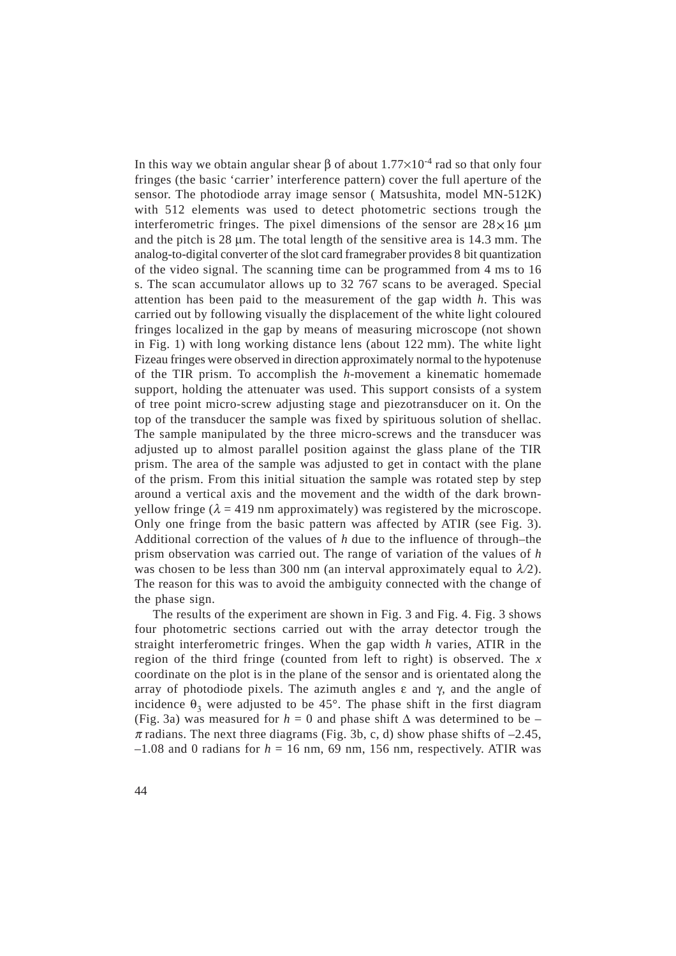In this way we obtain angular shear  $\beta$  of about  $1.77 \times 10^{-4}$  rad so that only four fringes (the basic 'carrier' interference pattern) cover the full aperture of the sensor. The photodiode array image sensor ( Matsushita, model MN-512K) with 512 elements was used to detect photometric sections trough the interferometric fringes. The pixel dimensions of the sensor are  $28\times16$  µm and the pitch is  $28 \mu m$ . The total length of the sensitive area is  $14.3 \text{ mm}$ . The analog-to-digital converter of the slot card framegraber provides 8 bit quantization of the video signal. The scanning time can be programmed from 4 ms to 16 s. The scan accumulator allows up to 32 767 scans to be averaged. Special attention has been paid to the measurement of the gap width *h*. This was carried out by following visually the displacement of the white light coloured fringes localized in the gap by means of measuring microscope (not shown in Fig. 1) with long working distance lens (about 122 mm). The white light Fizeau fringes were observed in direction approximately normal to the hypotenuse of the TIR prism. To accomplish the *h*-movement a kinematic homemade support, holding the attenuater was used. This support consists of a system of tree point micro-screw adjusting stage and piezotransducer on it. On the top of the transducer the sample was fixed by spirituous solution of shellac. The sample manipulated by the three micro-screws and the transducer was adjusted up to almost parallel position against the glass plane of the TIR prism. The area of the sample was adjusted to get in contact with the plane of the prism. From this initial situation the sample was rotated step by step around a vertical axis and the movement and the width of the dark brownyellow fringe ( $\lambda = 419$  nm approximately) was registered by the microscope. Only one fringe from the basic pattern was affected by ATIR (see Fig. 3). Additional correction of the values of *h* due to the influence of through–the prism observation was carried out. The range of variation of the values of *h* was chosen to be less than 300 nm (an interval approximately equal to  $\lambda/2$ ). The reason for this was to avoid the ambiguity connected with the change of the phase sign.

The results of the experiment are shown in Fig. 3 and Fig. 4. Fig. 3 shows four photometric sections carried out with the array detector trough the straight interferometric fringes. When the gap width *h* varies, ATIR in the region of the third fringe (counted from left to right) is observed. The *x* coordinate on the plot is in the plane of the sensor and is orientated along the array of photodiode pixels. The azimuth angles ε and γ*,* and the angle of incidence  $\theta_3$  were adjusted to be 45°. The phase shift in the first diagram (Fig. 3a) was measured for  $h = 0$  and phase shift  $\Delta$  was determined to be –  $\pi$  radians. The next three diagrams (Fig. 3b, c, d) show phase shifts of  $-2.45$ ,  $-1.08$  and 0 radians for  $h = 16$  nm, 69 nm, 156 nm, respectively. ATIR was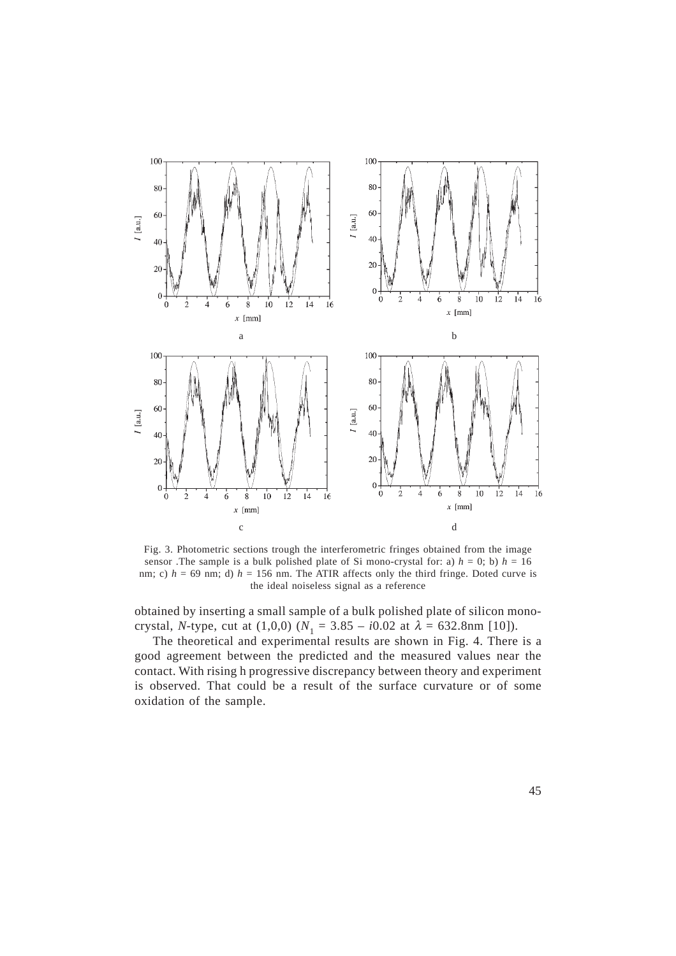

Fig. 3. Photometric sections trough the interferometric fringes obtained from the image sensor .The sample is a bulk polished plate of Si mono-crystal for: a)  $h = 0$ ; b)  $h = 16$ nm; c)  $h = 69$  nm; d)  $h = 156$  nm. The ATIR affects only the third fringe. Doted curve is the ideal noiseless signal as a reference

obtained by inserting a small sample of a bulk polished plate of silicon monocrystal, *N*-type, cut at (1,0,0) ( $N_1 = 3.85 - i0.02$  at  $\lambda = 632.8$ nm [10]).

The theoretical and experimental results are shown in Fig. 4. There is a good agreement between the predicted and the measured values near the contact. With rising h progressive discrepancy between theory and experiment is observed. That could be a result of the surface curvature or of some oxidation of the sample.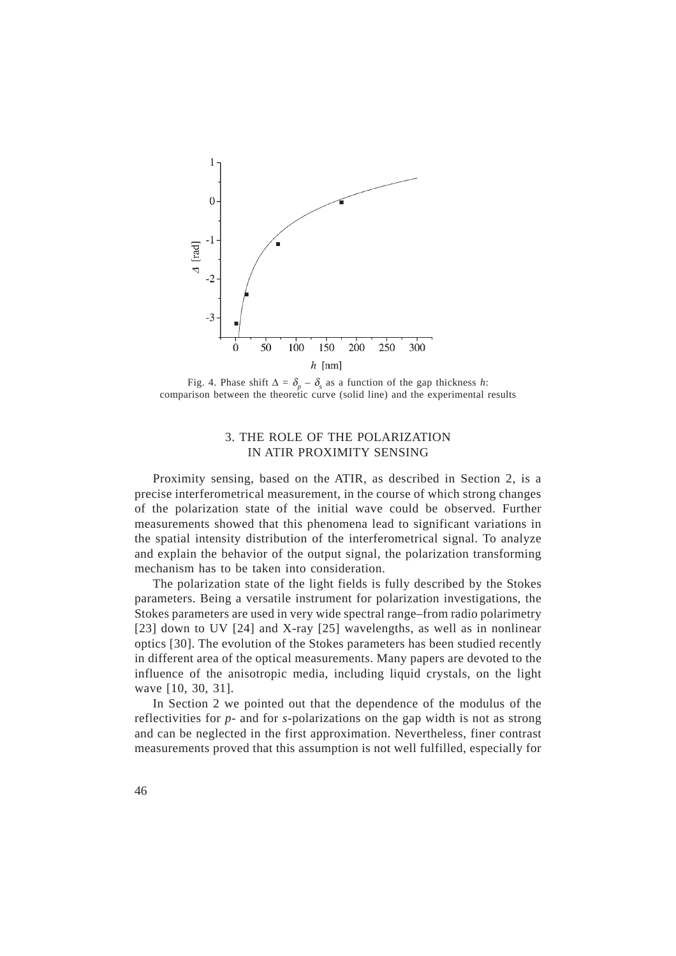

Fig. 4. Phase shift  $\Delta = \delta_p - \delta_s$  as a function of the gap thickness *h*: comparison between the theoretic curve (solid line) and the experimental results

## 3. THE ROLE OF THE POLARIZATION IN ATIR PROXIMITY SENSING

Proximity sensing, based on the ATIR, as described in Section 2, is a precise interferometrical measurement, in the course of which strong changes of the polarization state of the initial wave could be observed. Further measurements showed that this phenomena lead to significant variations in the spatial intensity distribution of the interferometrical signal. To analyze and explain the behavior of the output signal, the polarization transforming mechanism has to be taken into consideration.

The polarization state of the light fields is fully described by the Stokes parameters. Being a versatile instrument for polarization investigations, the Stokes parameters are used in very wide spectral range–from radio polarimetry [23] down to UV [24] and X-ray [25] wavelengths, as well as in nonlinear optics [30]. The evolution of the Stokes parameters has been studied recently in different area of the optical measurements. Many papers are devoted to the influence of the anisotropic media, including liquid crystals, on the light wave [10, 30, 31].

In Section 2 we pointed out that the dependence of the modulus of the reflectivities for *p*- and for *s*-polarizations on the gap width is not as strong and can be neglected in the first approximation. Nevertheless, finer contrast measurements proved that this assumption is not well fulfilled, especially for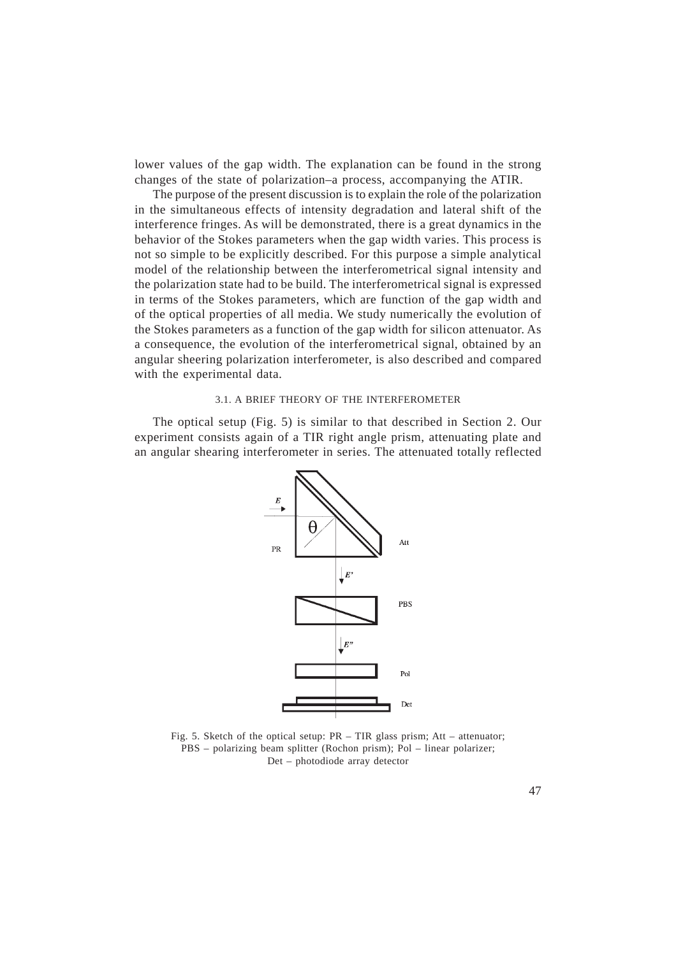lower values of the gap width. The explanation can be found in the strong changes of the state of polarization–a process, accompanying the ATIR.

The purpose of the present discussion is to explain the role of the polarization in the simultaneous effects of intensity degradation and lateral shift of the interference fringes. As will be demonstrated, there is a great dynamics in the behavior of the Stokes parameters when the gap width varies. This process is not so simple to be explicitly described. For this purpose a simple analytical model of the relationship between the interferometrical signal intensity and the polarization state had to be build. The interferometrical signal is expressed in terms of the Stokes parameters, which are function of the gap width and of the optical properties of all media. We study numerically the evolution of the Stokes parameters as a function of the gap width for silicon attenuator. As a consequence, the evolution of the interferometrical signal, obtained by an angular sheering polarization interferometer, is also described and compared with the experimental data.

#### 3.1. A BRIEF THEORY OF THE INTERFEROMETER

The optical setup (Fig. 5) is similar to that described in Section 2. Our experiment consists again of a TIR right angle prism, attenuating plate and an angular shearing interferometer in series. The attenuated totally reflected



Fig. 5. Sketch of the optical setup: PR – TIR glass prism; Att – attenuator; PBS – polarizing beam splitter (Rochon prism); Pol – linear polarizer; Det – photodiode array detector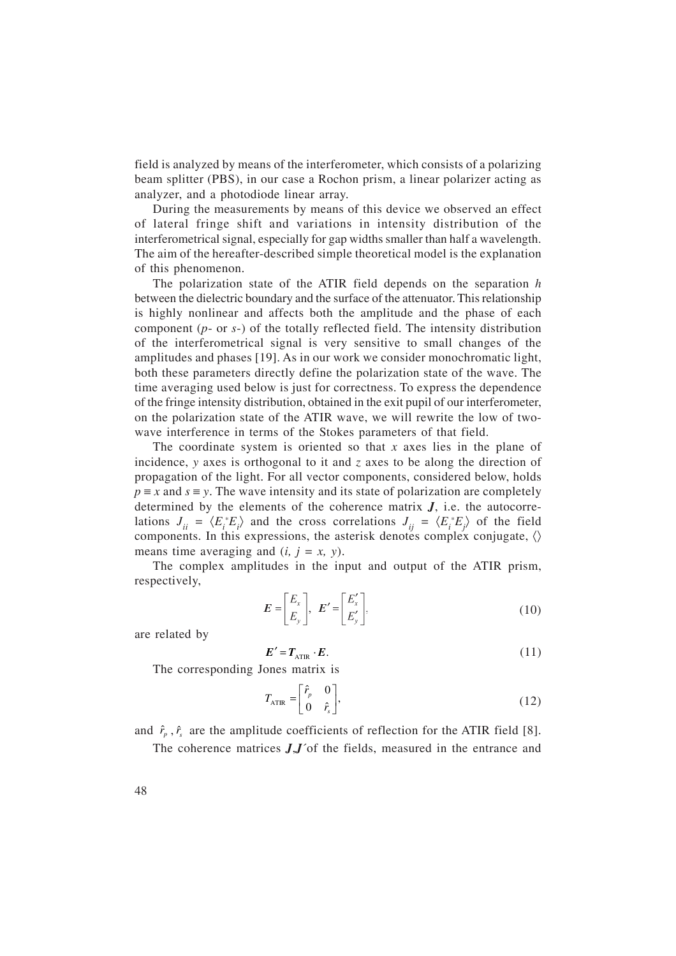field is analyzed by means of the interferometer, which consists of a polarizing beam splitter (PBS), in our case a Rochon prism, a linear polarizer acting as analyzer, and a photodiode linear array.

During the measurements by means of this device we observed an effect of lateral fringe shift and variations in intensity distribution of the interferometrical signal, especially for gap widths smaller than half a wavelength. The aim of the hereafter-described simple theoretical model is the explanation of this phenomenon.

The polarization state of the ATIR field depends on the separation *h* between the dielectric boundary and the surface of the attenuator. This relationship is highly nonlinear and affects both the amplitude and the phase of each component (*p*- or *s*-) of the totally reflected field. The intensity distribution of the interferometrical signal is very sensitive to small changes of the amplitudes and phases [19]. As in our work we consider monochromatic light, both these parameters directly define the polarization state of the wave. The time averaging used below is just for correctness. To express the dependence of the fringe intensity distribution, obtained in the exit pupil of our interferometer, on the polarization state of the ATIR wave, we will rewrite the low of twowave interference in terms of the Stokes parameters of that field.

The coordinate system is oriented so that *x* axes lies in the plane of incidence, *y* axes is orthogonal to it and *z* axes to be along the direction of propagation of the light. For all vector components, considered below, holds  $p \equiv x$  and  $s \equiv y$ . The wave intensity and its state of polarization are completely determined by the elements of the coherence matrix  $J$ , i.e. the autocorrelations  $J_{ii} = \langle E_i^* E_i \rangle$  and the cross correlations  $J_{ij} = \langle E_i^* E_j \rangle$  of the field components. In this expressions, the asterisk denotes complex conjugate,  $\langle \rangle$ means time averaging and  $(i, j = x, y)$ .

The complex amplitudes in the input and output of the ATIR prism, respectively,

$$
E = \begin{bmatrix} E_x \\ E_y \end{bmatrix}, \ E' = \begin{bmatrix} E'_x \\ E'_y \end{bmatrix}, \tag{10}
$$

are related by

$$
E' = T_{\text{ATIR}} \cdot E. \tag{11}
$$

The corresponding Jones matrix is

$$
T_{\text{ATIR}} = \begin{bmatrix} \hat{r}_p & 0 \\ 0 & \hat{r}_s \end{bmatrix},\tag{12}
$$

and  $\hat{r}_p$ ,  $\hat{r}_s$  are the amplitude coefficients of reflection for the ATIR field [8].

The coherence matrices *J*,*J*´of the fields, measured in the entrance and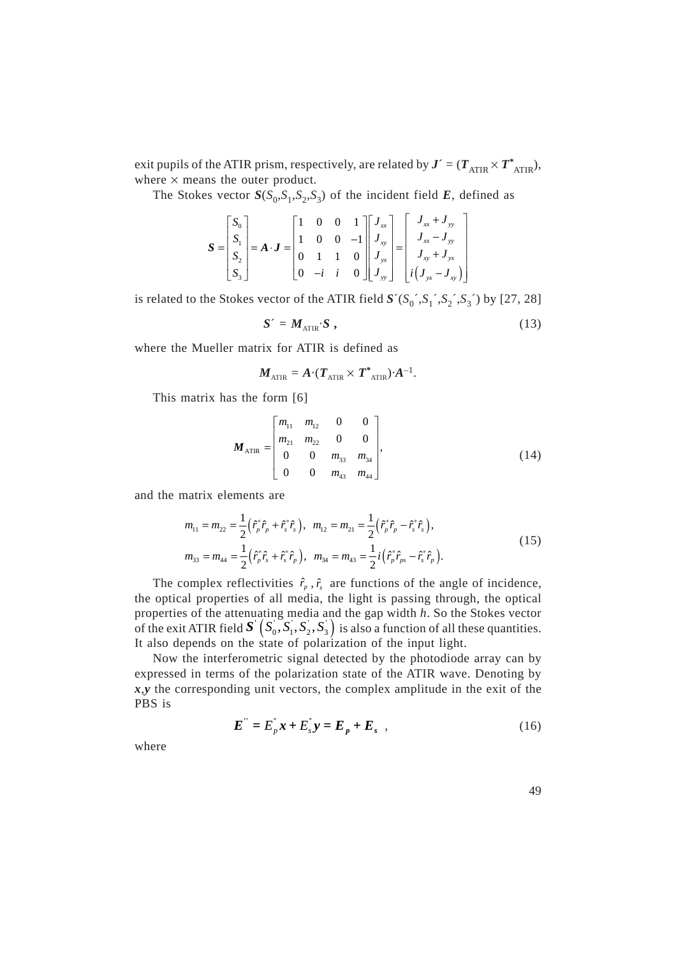exit pupils of the ATIR prism, respectively, are related by  $J' = (T_{\text{ATIR}} \times T_{\text{ATIR}}^*)$ , where  $\times$  means the outer product.

The Stokes vector  $S(S_0, S_1, S_2, S_3)$  of the incident field *E*, defined as

$$
\mathbf{S} = \begin{bmatrix} S_0 \\ S_1 \\ S_2 \\ S_3 \end{bmatrix} = \mathbf{A} \cdot \mathbf{J} = \begin{bmatrix} 1 & 0 & 0 & 1 \\ 1 & 0 & 0 & -1 \\ 0 & 1 & 1 & 0 \\ 0 & -i & i & 0 \end{bmatrix} \begin{bmatrix} J_{xx} \\ J_{xy} \\ J_{yy} \\ J_{yy} \end{bmatrix} = \begin{bmatrix} J_{xx} + J_{yy} \\ J_{xx} - J_{yy} \\ J_{xy} + J_{yx} \\ i(J_{yx} - J_{xy}) \end{bmatrix}
$$

is related to the Stokes vector of the ATIR field  $S'(S_0', S_1', S_2', S_3')$  by [27, 28]

$$
S' = M_{\text{ATIR}} \cdot S \tag{13}
$$

where the Mueller matrix for ATIR is defined as

$$
\boldsymbol{M}_{\text{ATIR}} = \boldsymbol{A} \boldsymbol{\cdot} (\boldsymbol{T}_{\text{ATIR}} \times \boldsymbol{T}^*_{\text{ATIR}}) \boldsymbol{\cdot} \boldsymbol{A}^{-1}.
$$

This matrix has the form [6]

$$
\boldsymbol{M}_{\text{ATIR}} = \begin{bmatrix} m_{11} & m_{12} & 0 & 0 \\ m_{21} & m_{22} & 0 & 0 \\ 0 & 0 & m_{33} & m_{34} \\ 0 & 0 & m_{43} & m_{44} \end{bmatrix},\tag{14}
$$

and the matrix elements are

$$
m_{11} = m_{22} = \frac{1}{2} \left( \hat{r}_p^* \hat{r}_p + \hat{r}_s^* \hat{r}_s \right), \quad m_{12} = m_{21} = \frac{1}{2} \left( \hat{r}_p^* \hat{r}_p - \hat{r}_s^* \hat{r}_s \right),
$$
  
\n
$$
m_{33} = m_{44} = \frac{1}{2} \left( \hat{r}_p^* \hat{r}_s + \hat{r}_s^* \hat{r}_p \right), \quad m_{34} = m_{43} = \frac{1}{2} i \left( \hat{r}_p^* \hat{r}_{ps} - \hat{r}_s^* \hat{r}_p \right).
$$
\n(15)

The complex reflectivities  $\hat{r}_p$ ,  $\hat{r}_s$  are functions of the angle of incidence, the optical properties of all media, the light is passing through, the optical properties of the attenuating media and the gap width *h*. So the Stokes vector of the exit ATIR field  $\bm{S}'\left( S_0^{'},S_1^{'},S_2^{'},S_3^{'}\right)$  is also a function of all these quantities. It also depends on the state of polarization of the input light.

Now the interferometric signal detected by the photodiode array can by expressed in terms of the polarization state of the ATIR wave. Denoting by *x*,*y* the corresponding unit vectors, the complex amplitude in the exit of the PBS is

$$
E'' = E_p^{\dagger} x + E_s^{\dagger} y = E_p + E_s \quad , \tag{16}
$$

where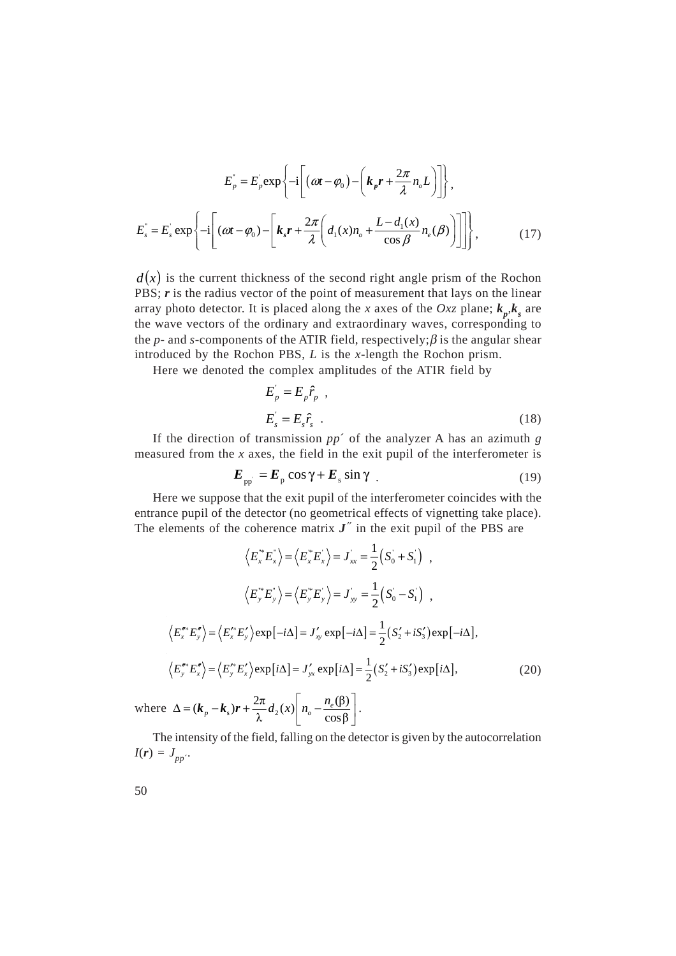$$
E_p^{\dagger} = E_p^{\dagger} \exp\left\{-i\left[\left(\omega t - \varphi_0\right) - \left(k_p r + \frac{2\pi}{\lambda} n_o L\right)\right]\right\},\
$$
  

$$
E_s^{\dagger} = E_s^{\dagger} \exp\left\{-i\left[\left(\omega t - \varphi_0\right) - \left[k_s r + \frac{2\pi}{\lambda} \left(d_1(x)n_o + \frac{L - d_1(x)}{\cos \beta} n_e(\beta)\right)\right]\right]\right\},\
$$
 (17)

 $d(x)$  is the current thickness of the second right angle prism of the Rochon PBS; *r* is the radius vector of the point of measurement that lays on the linear array photo detector. It is placed along the *x* axes of the *Oxz* plane;  $k_p, k_s$  are the wave vectors of the ordinary and extraordinary waves, corresponding to the *p*- and *s*-components of the ATIR field, respectively;  $\beta$  is the angular shear introduced by the Rochon PBS, *L* is the *x*-length the Rochon prism.

Here we denoted the complex amplitudes of the ATIR field by

$$
E_p = E_p \hat{r}_p ,
$$
  
\n
$$
E_s = E_s \hat{r}_s .
$$
 (18)

If the direction of transmission *pp*´ of the analyzer A has an azimuth *g* measured from the *x* axes, the field in the exit pupil of the interferometer is

$$
E_{\rm pp} = E_{\rm p} \cos \gamma + E_{\rm s} \sin \gamma \tag{19}
$$

Here we suppose that the exit pupil of the interferometer coincides with the entrance pupil of the detector (no geometrical effects of vignetting take place). The elements of the coherence matrix  $J''$  in the exit pupil of the PBS are

$$
\langle E_x^* E_x^* \rangle = \langle E_x^* E_x^* \rangle = J_{xx} = \frac{1}{2} (S_0 + S_1) ,
$$
  

$$
\langle E_y^* E_y^* \rangle = \langle E_y^* E_y^* \rangle = J_{yy} = \frac{1}{2} (S_0 - S_1) ,
$$
  

$$
\langle E_x^* E_y^* \rangle = \langle E_x^* E_y^* \rangle \exp[-i\Delta] = J_{xy}' \exp[-i\Delta] = \frac{1}{2} (S_2' + iS_3') \exp[-i\Delta],
$$
  

$$
\langle E_y^* E_x^* \rangle = \langle E_y^* E_x^* \rangle \exp[i\Delta] = J_{yx}' \exp[i\Delta] = \frac{1}{2} (S_2' + iS_3') \exp[i\Delta],
$$
 (20)

where  $\Delta = (\boldsymbol{k}_p - \boldsymbol{k}_s)\boldsymbol{r} + \frac{2\pi}{\lambda} d_2(x) \left| n_o - \frac{n_e(\beta)}{\cos\beta} \right|$  $\Delta = (\boldsymbol{k}_p - \boldsymbol{k}_s)\boldsymbol{r} + \frac{2\pi}{\lambda}d_2(x)\left[n_o - \frac{n_e(\beta)}{\cos\beta}\right].$ 

The intensity of the field, falling on the detector is given by the autocorrelation  $I(r) = J_{pp}$ .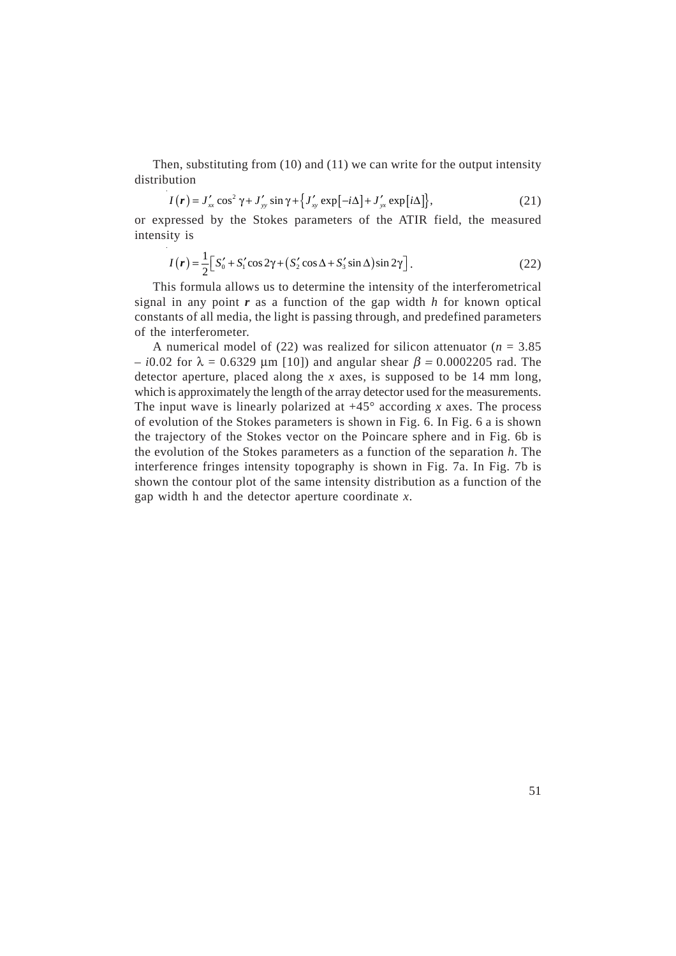Then, substituting from (10) and (11) we can write for the output intensity distribution

$$
I(r) = J'_{xx} \cos^2 \gamma + J'_{yy} \sin \gamma + \left\{ J'_{xy} \exp[-i\Delta] + J'_{yx} \exp[i\Delta] \right\},\tag{21}
$$

or expressed by the Stokes parameters of the ATIR field, the measured intensity is

$$
I(r) = \frac{1}{2} \Big[ S'_0 + S'_1 \cos 2\gamma + (S'_2 \cos \Delta + S'_3 \sin \Delta) \sin 2\gamma \Big].
$$
 (22)

This formula allows us to determine the intensity of the interferometrical signal in any point *r* as a function of the gap width *h* for known optical constants of all media, the light is passing through, and predefined parameters of the interferometer.

A numerical model of  $(22)$  was realized for silicon attenuator  $(n = 3.85)$  $- i0.02$  for  $\lambda = 0.6329$  μm [10]) and angular shear  $β = 0.0002205$  rad. The detector aperture, placed along the *x* axes, is supposed to be 14 mm long, which is approximately the length of the array detector used for the measurements. The input wave is linearly polarized at  $+45^{\circ}$  according *x* axes. The process of evolution of the Stokes parameters is shown in Fig. 6. In Fig. 6 a is shown the trajectory of the Stokes vector on the Poincare sphere and in Fig. 6b is the evolution of the Stokes parameters as a function of the separation *h*. The interference fringes intensity topography is shown in Fig. 7a. In Fig. 7b is shown the contour plot of the same intensity distribution as a function of the gap width h and the detector aperture coordinate *x*.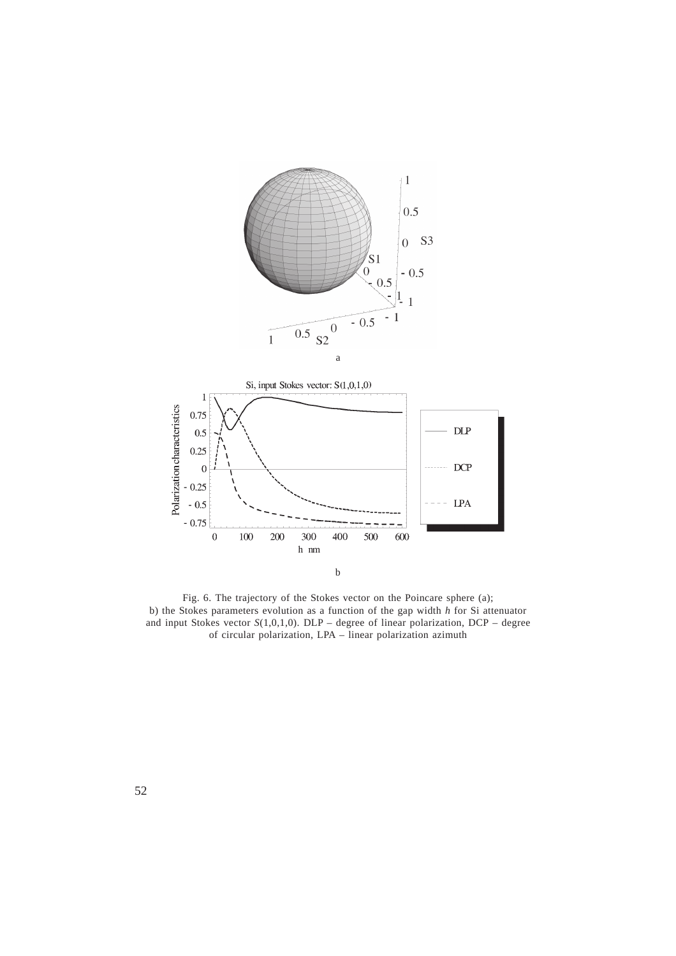



Fig. 6. The trajectory of the Stokes vector on the Poincare sphere (a); b) the Stokes parameters evolution as a function of the gap width *h* for Si attenuator and input Stokes vector *S*(1,0,1,0). DLP – degree of linear polarization, DCP – degree of circular polarization, LPA – linear polarization azimuth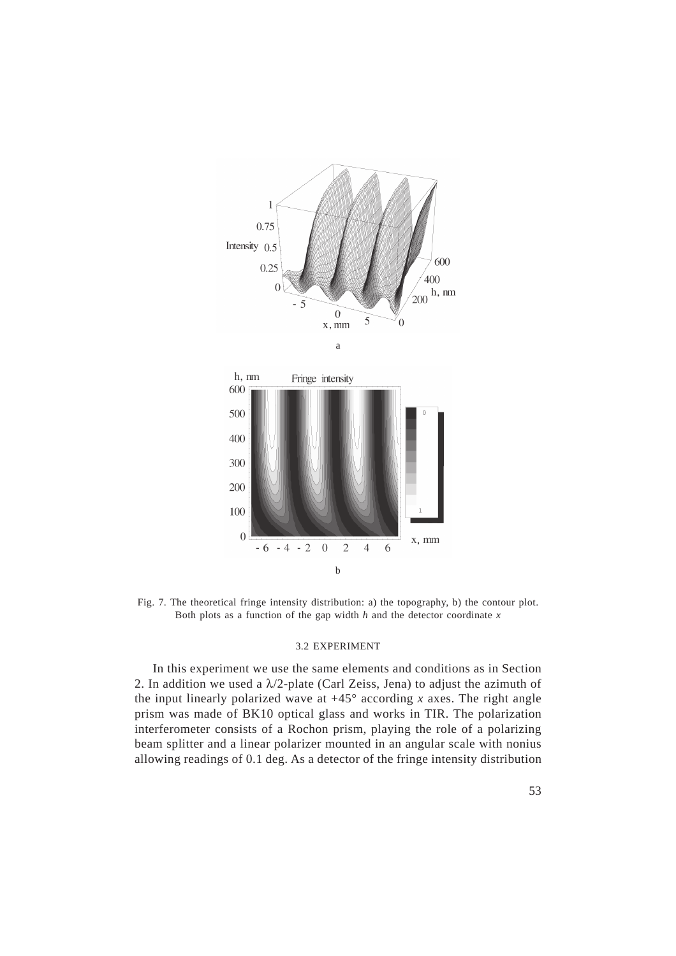



Fig. 7. The theoretical fringe intensity distribution: a) the topography, b) the contour plot. Both plots as a function of the gap width  $h$  and the detector coordinate  $x$ 

#### 3.2 EXPERIMENT

In this experiment we use the same elements and conditions as in Section 2. In addition we used a  $\lambda/2$ -plate (Carl Zeiss, Jena) to adjust the azimuth of the input linearly polarized wave at  $+45^{\circ}$  according *x* axes. The right angle prism was made of BK10 optical glass and works in TIR. The polarization interferometer consists of a Rochon prism, playing the role of a polarizing beam splitter and a linear polarizer mounted in an angular scale with nonius allowing readings of 0.1 deg. As a detector of the fringe intensity distribution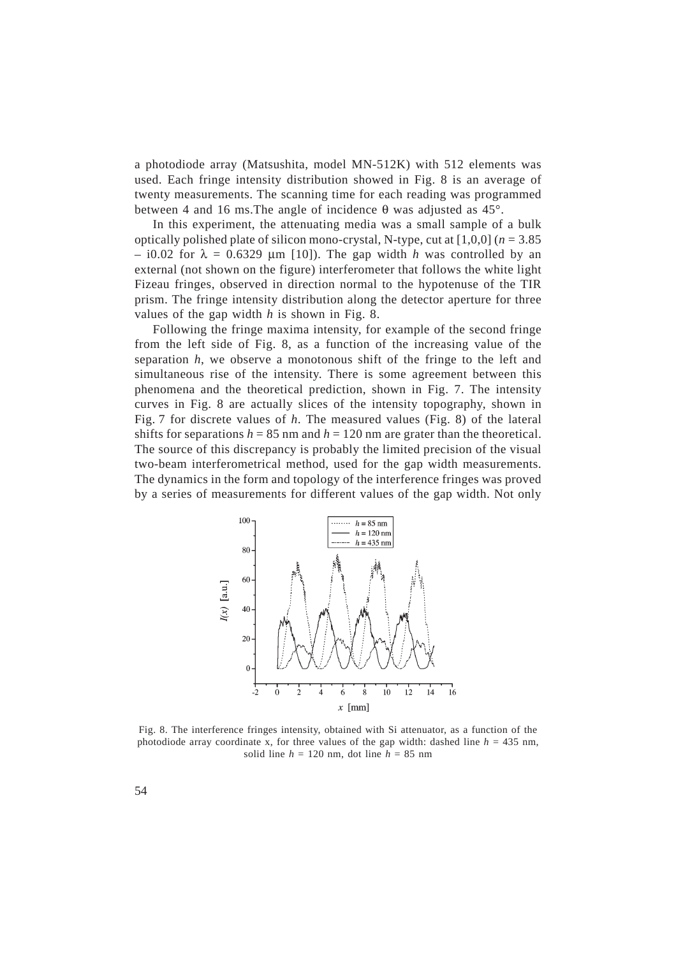a photodiode array (Matsushita, model MN-512K) with 512 elements was used. Each fringe intensity distribution showed in Fig. 8 is an average of twenty measurements. The scanning time for each reading was programmed between 4 and 16 ms. The angle of incidence  $\theta$  was adjusted as 45°.

In this experiment, the attenuating media was a small sample of a bulk optically polished plate of silicon mono-crystal, N-type, cut at [1,0,0] (*n* = 3.85  $-$  i0.02 for  $\lambda = 0.6329$  µm [10]). The gap width *h* was controlled by an external (not shown on the figure) interferometer that follows the white light Fizeau fringes, observed in direction normal to the hypotenuse of the TIR prism. The fringe intensity distribution along the detector aperture for three values of the gap width *h* is shown in Fig. 8.

Following the fringe maxima intensity, for example of the second fringe from the left side of Fig. 8, as a function of the increasing value of the separation *h*, we observe a monotonous shift of the fringe to the left and simultaneous rise of the intensity. There is some agreement between this phenomena and the theoretical prediction, shown in Fig. 7. The intensity curves in Fig. 8 are actually slices of the intensity topography, shown in Fig. 7 for discrete values of *h*. The measured values (Fig. 8) of the lateral shifts for separations  $h = 85$  nm and  $h = 120$  nm are grater than the theoretical. The source of this discrepancy is probably the limited precision of the visual two-beam interferometrical method, used for the gap width measurements. The dynamics in the form and topology of the interference fringes was proved by a series of measurements for different values of the gap width. Not only



Fig. 8. The interference fringes intensity, obtained with Si attenuator, as a function of the photodiode array coordinate x, for three values of the gap width: dashed line  $h = 435$  nm, solid line  $h = 120$  nm, dot line  $h = 85$  nm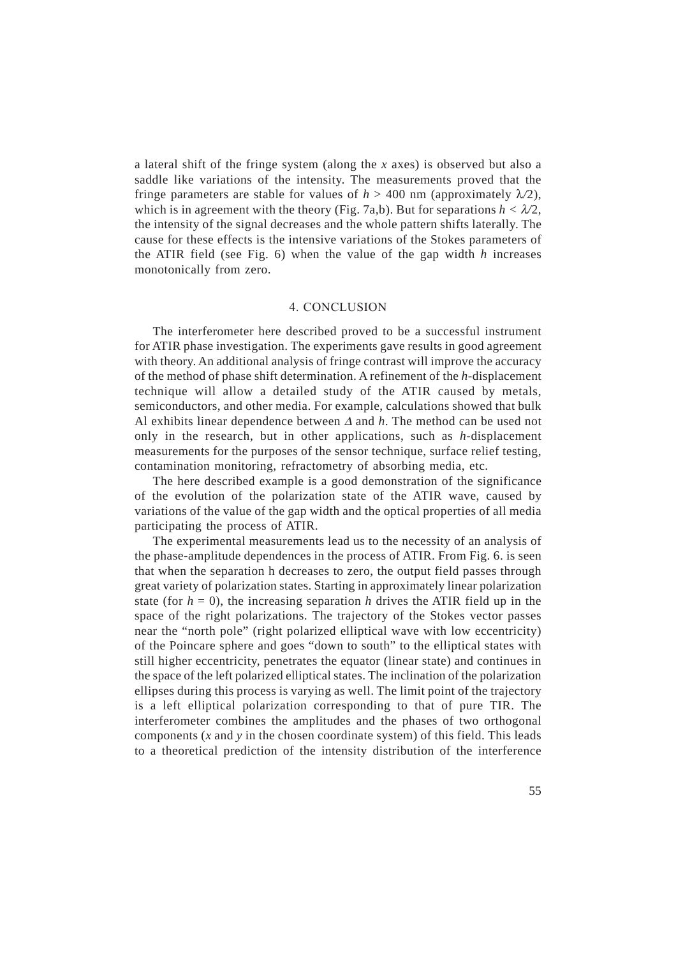a lateral shift of the fringe system (along the *x* axes) is observed but also a saddle like variations of the intensity. The measurements proved that the fringe parameters are stable for values of  $h > 400$  nm (approximately  $\lambda/2$ ), which is in agreement with the theory (Fig. 7a,b). But for separations  $h < \lambda/2$ , the intensity of the signal decreases and the whole pattern shifts laterally. The cause for these effects is the intensive variations of the Stokes parameters of the ATIR field (see Fig. 6) when the value of the gap width *h* increases monotonically from zero.

## 4. CONCLUSION

The interferometer here described proved to be a successful instrument for ATIR phase investigation. The experiments gave results in good agreement with theory. An additional analysis of fringe contrast will improve the accuracy of the method of phase shift determination. A refinement of the *h*-displacement technique will allow a detailed study of the ATIR caused by metals, semiconductors, and other media. For example, calculations showed that bulk Al exhibits linear dependence between ∆ and *h*. The method can be used not only in the research, but in other applications, such as *h*-displacement measurements for the purposes of the sensor technique, surface relief testing, contamination monitoring, refractometry of absorbing media, etc.

The here described example is a good demonstration of the significance of the evolution of the polarization state of the ATIR wave, caused by variations of the value of the gap width and the optical properties of all media participating the process of ATIR.

The experimental measurements lead us to the necessity of an analysis of the phase-amplitude dependences in the process of ATIR. From Fig. 6. is seen that when the separation h decreases to zero, the output field passes through great variety of polarization states. Starting in approximately linear polarization state (for  $h = 0$ ), the increasing separation *h* drives the ATIR field up in the space of the right polarizations. The trajectory of the Stokes vector passes near the "north pole" (right polarized elliptical wave with low eccentricity) of the Poincare sphere and goes "down to south" to the elliptical states with still higher eccentricity, penetrates the equator (linear state) and continues in the space of the left polarized elliptical states. The inclination of the polarization ellipses during this process is varying as well. The limit point of the trajectory is a left elliptical polarization corresponding to that of pure TIR. The interferometer combines the amplitudes and the phases of two orthogonal components (*x* and *y* in the chosen coordinate system) of this field. This leads to a theoretical prediction of the intensity distribution of the interference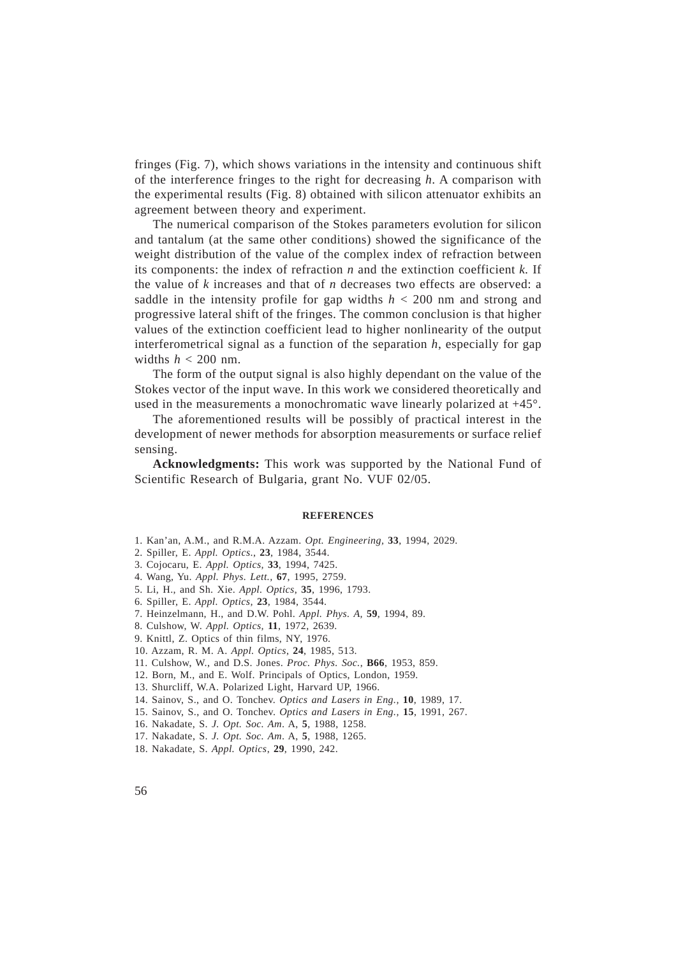fringes (Fig. 7), which shows variations in the intensity and continuous shift of the interference fringes to the right for decreasing *h*. A comparison with the experimental results (Fig. 8) obtained with silicon attenuator exhibits an agreement between theory and experiment.

The numerical comparison of the Stokes parameters evolution for silicon and tantalum (at the same other conditions) showed the significance of the weight distribution of the value of the complex index of refraction between its components: the index of refraction *n* and the extinction coefficient *k.* If the value of *k* increases and that of *n* decreases two effects are observed: a saddle in the intensity profile for gap widths *h* < 200 nm and strong and progressive lateral shift of the fringes. The common conclusion is that higher values of the extinction coefficient lead to higher nonlinearity of the output interferometrical signal as a function of the separation  $h$ , especially for gap widths  $h < 200$  nm.

The form of the output signal is also highly dependant on the value of the Stokes vector of the input wave. In this work we considered theoretically and used in the measurements a monochromatic wave linearly polarized at +45°.

The aforementioned results will be possibly of practical interest in the development of newer methods for absorption measurements or surface relief sensing.

**Acknowledgments:** This work was supported by the National Fund of Scientific Research of Bulgaria, grant No. VUF 02/05.

#### **REFERENCES**

- 1. Kan'an, A.M., and R.M.A. Azzam. *Opt. Engineering,* **33**, 1994, 2029.
- 2. Spiller, E. *Appl. Optics*., **23**, 1984, 3544.
- 3. Cojocaru, E. *Appl. Optics,* **33**, 1994, 7425.
- 4. Wang, Yu. *Appl. Phys. Lett.,* **67**, 1995, 2759.
- 5. Li, H., and Sh. Xie. *Appl. Optics*, **35**, 1996, 1793.
- 6. Spiller, E. *Appl. Optics,* **23**, 1984, 3544.
- 7. Heinzelmann, H., and D.W. Pohl. *Appl. Phys. A,* **59**, 1994, 89.
- 8. Culshow, W. *Appl. Optics,* **11**, 1972, 2639.
- 9. Knittl, Z. Optics of thin films, NY, 1976.
- 10. Azzam, R. M. A. *Appl. Optics*, **24**, 1985, 513.
- 11. Culshow, W., and D.S. Jones. *Proc. Phys. Soc.*, **B66**, 1953, 859.
- 12. Born, M., and E. Wolf. Principals of Optics, London, 1959.
- 13. Shurcliff, W.A. Polarized Light, Harvard UP, 1966.
- 14. Sainov, S., and O. Tonchev. *Optics and Lasers in Eng.,* **10**, 1989, 17.
- 15. Sainov, S., and O. Tonchev. *Optics and Lasers in Eng.,* **15**, 1991, 267.
- 16. Nakadate, S. *J. Opt. Soc. Am*. A, **5**, 1988, 1258.
- 17. Nakadate, S. *J. Opt. Soc. Am*. A, **5**, 1988, 1265.
- 18. Nakadate, S. *Appl. Optics*, **29**, 1990, 242.